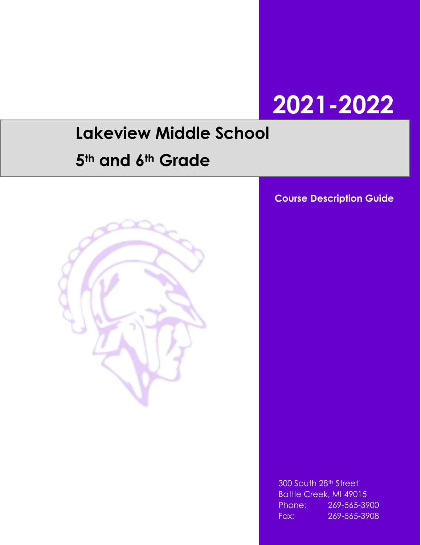# **2021-2022**

## **Lakeview Middle School**

## **5th and 6th Grade**



**Course Description Guide**

300 South 28th Street Battle Creek, MI 49015 Phone: 269-565-3900 Fax: 269-565-3908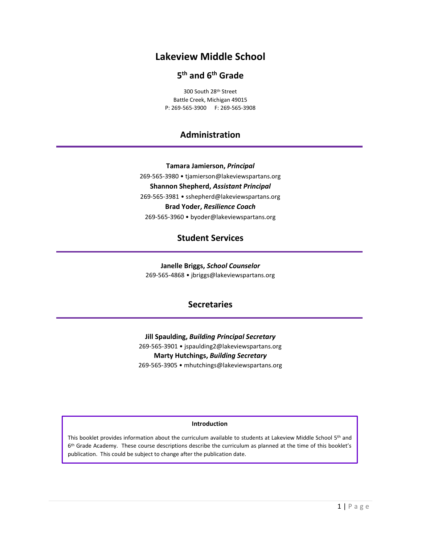## **Lakeview Middle School**

## **5 th and 6th Grade**

300 South 28th Street Battle Creek, Michigan 49015 P: 269-565-3900 F: 269-565-3908

## **Administration**

**Tamara Jamierson,** *Principal* 269-565-3980 • tjamierson@lakeviewspartans.org **Shannon Shepherd,** *Assistant Principal* 269-565-3981 • sshepherd@lakeviewspartans.org **Brad Yoder,** *Resilience Coach* 269-565-3960 • byoder@lakeviewspartans.org

**Student Services**

**Janelle Briggs,** *School Counselor* 269-565-4868 • jbriggs@lakeviewspartans.org

## **Secretaries**

**Jill Spaulding,** *Building Principal Secretary* 269-565-3901 • jspaulding2@lakeviewspartans.org **Marty Hutchings,** *Building Secretary* 269-565-3905 • mhutchings@lakeviewspartans.org

#### **Introduction**

This booklet provides information about the curriculum available to students at Lakeview Middle School 5<sup>th</sup> and 6<sup>th</sup> Grade Academy. These course descriptions describe the curriculum as planned at the time of this booklet's publication. This could be subject to change after the publication date.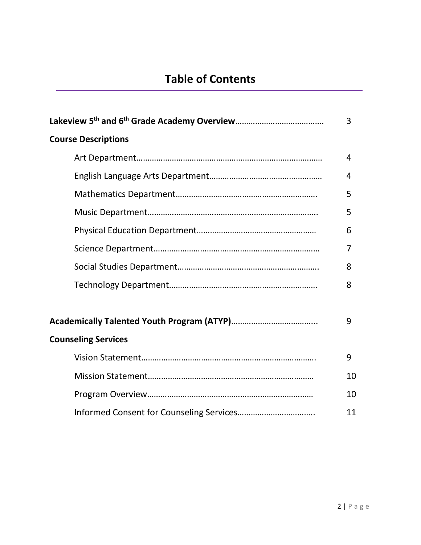|                            | 3  |
|----------------------------|----|
| <b>Course Descriptions</b> |    |
|                            | 4  |
|                            | 4  |
|                            | 5  |
|                            | 5  |
|                            | 6  |
|                            | 7  |
|                            | 8  |
|                            | 8  |
|                            |    |
|                            | 9  |
| <b>Counseling Services</b> |    |
|                            | 9  |
|                            | 10 |
|                            | 10 |
|                            | 11 |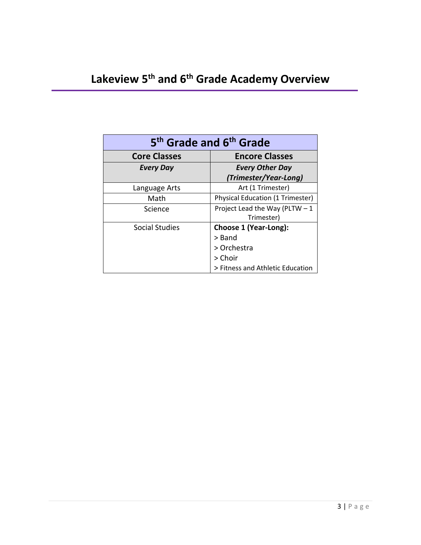| 5 <sup>th</sup> Grade and 6 <sup>th</sup> Grade |                                         |  |
|-------------------------------------------------|-----------------------------------------|--|
| <b>Core Classes</b>                             | <b>Encore Classes</b>                   |  |
| <b>Every Day</b>                                | <b>Every Other Day</b>                  |  |
|                                                 | (Trimester/Year-Long)                   |  |
| Language Arts                                   | Art (1 Trimester)                       |  |
| Math                                            | <b>Physical Education (1 Trimester)</b> |  |
| Science                                         | Project Lead the Way (PLTW $-1$         |  |
|                                                 | Trimester)                              |  |
| Social Studies                                  | Choose 1 (Year-Long):                   |  |
|                                                 | $>$ Band                                |  |
|                                                 | > Orchestra                             |  |
|                                                 | > Choir                                 |  |
|                                                 | > Fitness and Athletic Education        |  |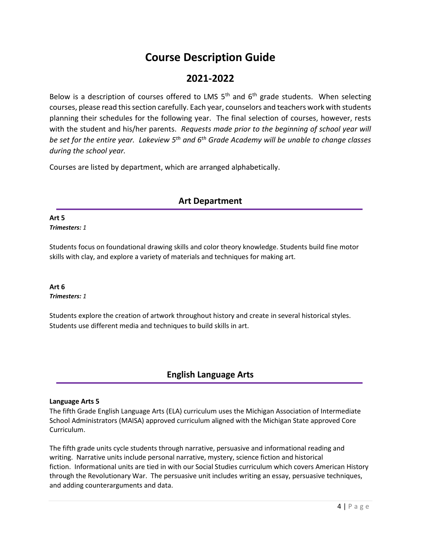## **Course Description Guide**

## **2021-2022**

Below is a description of courses offered to LMS  $5<sup>th</sup>$  and  $6<sup>th</sup>$  grade students. When selecting courses, please read this section carefully. Each year, counselors and teachers work with students planning their schedules for the following year. The final selection of courses, however, rests with the student and his/her parents. *Requests made prior to the beginning of school year will be set for the entire year. Lakeview 5 th and 6th Grade Academy will be unable to change classes during the school year.*

Courses are listed by department, which are arranged alphabetically.

## **Art Department**

## **Art 5**

*Trimesters: 1*

Students focus on foundational drawing skills and color theory knowledge. Students build fine motor skills with clay, and explore a variety of materials and techniques for making art.

#### **Art 6** *Trimesters: 1*

Students explore the creation of artwork throughout history and create in several historical styles. Students use different media and techniques to build skills in art.

## **English Language Arts**

## **Language Arts 5**

The fifth Grade English Language Arts (ELA) curriculum uses the Michigan Association of Intermediate School Administrators (MAISA) approved curriculum aligned with the Michigan State approved Core Curriculum.

The fifth grade units cycle students through narrative, persuasive and informational reading and writing. Narrative units include personal narrative, mystery, science fiction and historical fiction. Informational units are tied in with our Social Studies curriculum which covers American History through the Revolutionary War. The persuasive unit includes writing an essay, persuasive techniques, and adding counterarguments and data.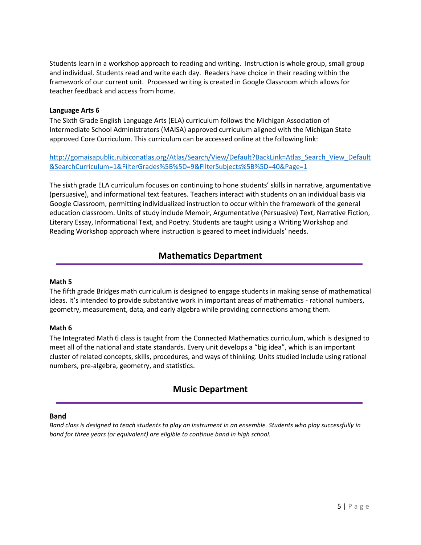Students learn in a workshop approach to reading and writing. Instruction is whole group, small group and individual. Students read and write each day. Readers have choice in their reading within the framework of our current unit. Processed writing is created in Google Classroom which allows for teacher feedback and access from home.

#### **Language Arts 6**

The Sixth Grade English Language Arts (ELA) curriculum follows the Michigan Association of Intermediate School Administrators (MAISA) approved curriculum aligned with the Michigan State approved Core Curriculum. This curriculum can be accessed online at the following link:

[http://gomaisapublic.rubiconatlas.org/Atlas/Search/View/Default?BackLink=Atlas\\_Search\\_View\\_Default](http://gomaisapublic.rubiconatlas.org/Atlas/Search/View/Default?BackLink=Atlas_Search_View_Default&SearchCurriculum=1&FilterGrades%5B%5D=9&FilterSubjects%5B%5D=40&Page=1) [&SearchCurriculum=1&FilterGrades%5B%5D=9&FilterSubjects%5B%5D=40&Page=1](http://gomaisapublic.rubiconatlas.org/Atlas/Search/View/Default?BackLink=Atlas_Search_View_Default&SearchCurriculum=1&FilterGrades%5B%5D=9&FilterSubjects%5B%5D=40&Page=1)

The sixth grade ELA curriculum focuses on continuing to hone students' skills in narrative, argumentative (persuasive), and informational text features. Teachers interact with students on an individual basis via Google Classroom, permitting individualized instruction to occur within the framework of the general education classroom. Units of study include Memoir, Argumentative (Persuasive) Text, Narrative Fiction, Literary Essay, Informational Text, and Poetry. Students are taught using a Writing Workshop and Reading Workshop approach where instruction is geared to meet individuals' needs.

## **Mathematics Department**

#### **Math 5**

The fifth grade Bridges math curriculum is designed to engage students in making sense of mathematical ideas. It's intended to provide substantive work in important areas of mathematics - rational numbers, geometry, measurement, data, and early algebra while providing connections among them.

## **Math 6**

The Integrated Math 6 class is taught from the Connected Mathematics curriculum, which is designed to meet all of the national and state standards. Every unit develops a "big idea", which is an important cluster of related concepts, skills, procedures, and ways of thinking. Units studied include using rational numbers, pre-algebra, geometry, and statistics.

## **Music Department**

## **Band**

*Band class is designed to teach students to play an instrument in an ensemble. Students who play successfully in band for three years (or equivalent) are eligible to continue band in high school.*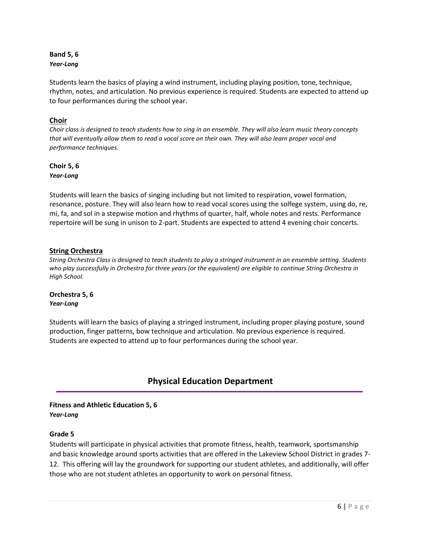## **Band 5, 6** *Year-Long*

Students learn the basics of playing a wind instrument, including playing position, tone, technique, rhythm, notes, and articulation. No previous experience is required. Students are expected to attend up to four performances during the school year.

## **Choir**

*Choir class is designed to teach students how to sing in an ensemble. They will also learn music theory concepts that will eventually allow them to read a vocal score on their own. They will also learn proper vocal and performance techniques.*

## **Choir 5, 6** *Year-Long*

Students will learn the basics of singing including but not limited to respiration, vowel formation, resonance, posture. They will also learn how to read vocal scores using the solfege system, using do, re, mi, fa, and sol in a stepwise motion and rhythms of quarter, half, whole notes and rests. Performance repertoire will be sung in unison to 2-part. Students are expected to attend 4 evening choir concerts.

## **String Orchestra**

*String Orchestra Class is designed to teach students to play a stringed instrument in an ensemble setting. Students who play successfully in Orchestra for three years (or the equivalent) are eligible to continue String Orchestra in High School.* 

#### **Orchestra 5, 6** *Year-Long*

Students will learn the basics of playing a stringed instrument, including proper playing posture, sound production, finger patterns, bow technique and articulation. No previous experience is required. Students are expected to attend up to four performances during the school year.

## **Physical Education Department**

## **Fitness and Athletic Education 5, 6** *Year-Long*

## **Grade 5**

Students will participate in physical activities that promote fitness, health, teamwork, sportsmanship and basic knowledge around sports activities that are offered in the Lakeview School District in grades 7- 12. This offering will lay the groundwork for supporting our student athletes, and additionally, will offer those who are not student athletes an opportunity to work on personal fitness.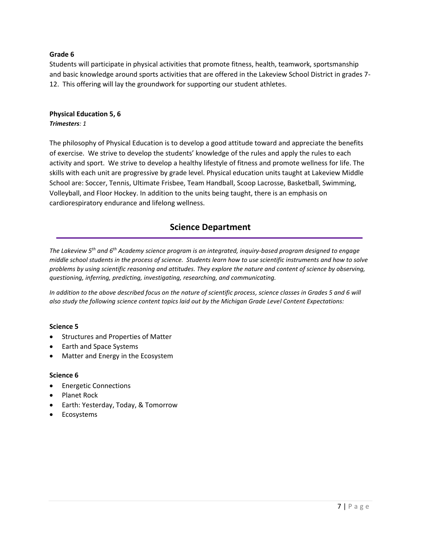## **Grade 6**

Students will participate in physical activities that promote fitness, health, teamwork, sportsmanship and basic knowledge around sports activities that are offered in the Lakeview School District in grades 7- 12. This offering will lay the groundwork for supporting our student athletes.

## **Physical Education 5, 6** *Trimesters: 1*

The philosophy of Physical Education is to develop a good attitude toward and appreciate the benefits of exercise. We strive to develop the students' knowledge of the rules and apply the rules to each activity and sport. We strive to develop a healthy lifestyle of fitness and promote wellness for life. The skills with each unit are progressive by grade level. Physical education units taught at Lakeview Middle School are: Soccer, Tennis, Ultimate Frisbee, Team Handball, Scoop Lacrosse, Basketball, Swimming, Volleyball, and Floor Hockey. In addition to the units being taught, there is an emphasis on cardiorespiratory endurance and lifelong wellness.

## **Science Department**

*The Lakeview 5 th and 6th Academy science program is an integrated, inquiry-based program designed to engage middle school students in the process of science. Students learn how to use scientific instruments and how to solve problems by using scientific reasoning and attitudes. They explore the nature and content of science by observing, questioning, inferring, predicting, investigating, researching, and communicating.*

*In addition to the above described focus on the nature of scientific process, science classes in Grades 5 and 6 will also study the following science content topics laid out by the Michigan Grade Level Content Expectations:*

## **Science 5**

- **•** Structures and Properties of Matter
- Earth and Space Systems
- Matter and Energy in the Ecosystem

## **Science 6**

- **•** Energetic Connections
- Planet Rock
- Earth: Yesterday, Today, & Tomorrow
- Ecosystems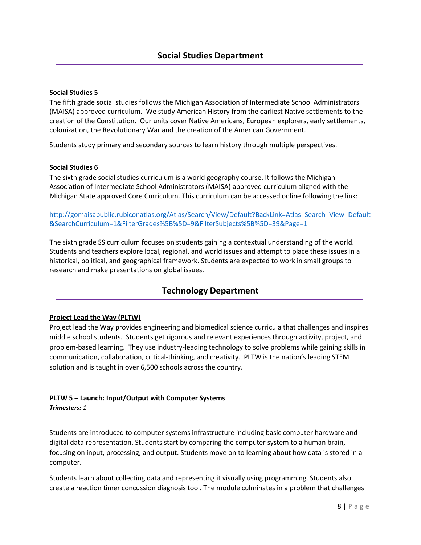## **Social Studies 5**

The fifth grade social studies follows the Michigan Association of Intermediate School Administrators (MAISA) approved curriculum. We study American History from the earliest Native settlements to the creation of the Constitution. Our units cover Native Americans, European explorers, early settlements, colonization, the Revolutionary War and the creation of the American Government.

Students study primary and secondary sources to learn history through multiple perspectives.

#### **Social Studies 6**

The sixth grade social studies curriculum is a world geography course. It follows the Michigan Association of Intermediate School Administrators (MAISA) approved curriculum aligned with the Michigan State approved Core Curriculum. This curriculum can be accessed online following the link:

[http://gomaisapublic.rubiconatlas.org/Atlas/Search/View/Default?BackLink=Atlas\\_Search\\_View\\_Default](http://gomaisapublic.rubiconatlas.org/Atlas/Search/View/Default?BackLink=Atlas_Search_View_Default&SearchCurriculum=1&FilterGrades%5B%5D=9&FilterSubjects%5B%5D=39&Page=1) [&SearchCurriculum=1&FilterGrades%5B%5D=9&FilterSubjects%5B%5D=39&Page=1](http://gomaisapublic.rubiconatlas.org/Atlas/Search/View/Default?BackLink=Atlas_Search_View_Default&SearchCurriculum=1&FilterGrades%5B%5D=9&FilterSubjects%5B%5D=39&Page=1)

The sixth grade SS curriculum focuses on students gaining a contextual understanding of the world. Students and teachers explore local, regional, and world issues and attempt to place these issues in a historical, political, and geographical framework. Students are expected to work in small groups to research and make presentations on global issues.

## **Technology Department**

## **Project Lead the Way (PLTW)**

Project lead the Way provides engineering and biomedical science curricula that challenges and inspires middle school students. Students get rigorous and relevant experiences through activity, project, and problem-based learning. They use industry-leading technology to solve problems while gaining skills in communication, collaboration, critical-thinking, and creativity. PLTW is the nation's leading STEM solution and is taught in over 6,500 schools across the country.

## **PLTW 5 – Launch: Input/Output with Computer Systems**

*Trimesters: 1*

Students are introduced to computer systems infrastructure including basic computer hardware and digital data representation. Students start by comparing the computer system to a human brain, focusing on input, processing, and output. Students move on to learning about how data is stored in a computer.

Students learn about collecting data and representing it visually using programming. Students also create a reaction timer concussion diagnosis tool. The module culminates in a problem that challenges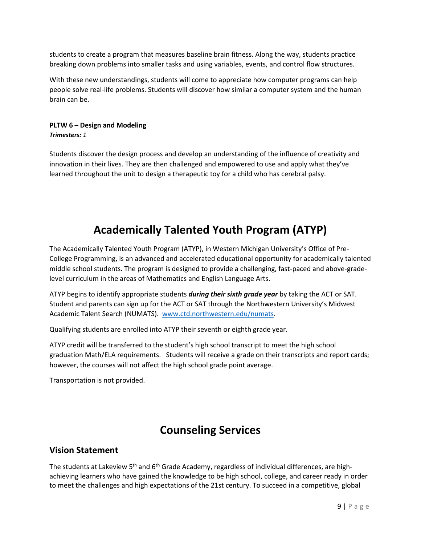students to create a program that measures baseline brain fitness. Along the way, students practice breaking down problems into smaller tasks and using variables, events, and control flow structures.

With these new understandings, students will come to appreciate how computer programs can help people solve real-life problems. Students will discover how similar a computer system and the human brain can be.

## **PLTW 6 – Design and Modeling** *Trimesters: 1*

Students discover the design process and develop an understanding of the influence of creativity and innovation in their lives. They are then challenged and empowered to use and apply what they've learned throughout the unit to design a therapeutic toy for a child who has cerebral palsy.

## **Academically Talented Youth Program (ATYP)**

The Academically Talented Youth Program (ATYP), in Western Michigan University's Office of Pre-College Programming, is an advanced and accelerated educational opportunity for academically talented middle school students. The program is designed to provide a challenging, fast-paced and above-gradelevel curriculum in the areas of Mathematics and English Language Arts.

ATYP begins to identify appropriate students *during their sixth grade year* by taking the ACT or SAT. Student and parents can sign up for the ACT or SAT through the Northwestern University's Midwest Academic Talent Search (NUMATS). [www.ctd.northwestern.edu/numats.](file:///C:/Users/jspaulding2/Documents/Forms/www.ctd.northwestern.edu/numats)

Qualifying students are enrolled into ATYP their seventh or eighth grade year.

ATYP credit will be transferred to the student's high school transcript to meet the high school graduation Math/ELA requirements. Students will receive a grade on their transcripts and report cards; however, the courses will not affect the high school grade point average.

Transportation is not provided.

## **Counseling Services**

## **Vision Statement**

The students at Lakeview 5<sup>th</sup> and 6<sup>th</sup> Grade Academy, regardless of individual differences, are highachieving learners who have gained the knowledge to be high school, college, and career ready in order to meet the challenges and high expectations of the 21st century. To succeed in a competitive, global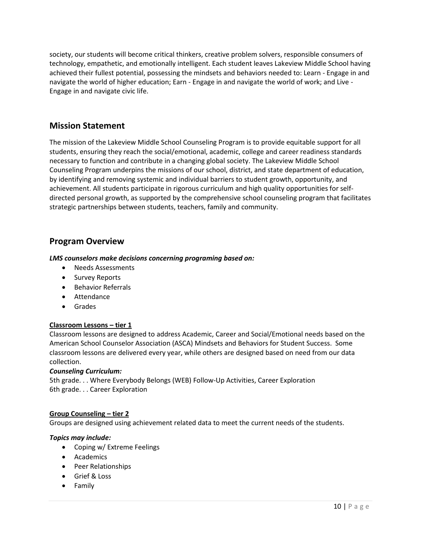society, our students will become critical thinkers, creative problem solvers, responsible consumers of technology, empathetic, and emotionally intelligent. Each student leaves Lakeview Middle School having achieved their fullest potential, possessing the mindsets and behaviors needed to: Learn - Engage in and navigate the world of higher education; Earn - Engage in and navigate the world of work; and Live - Engage in and navigate civic life.

## **Mission Statement**

The mission of the Lakeview Middle School Counseling Program is to provide equitable support for all students, ensuring they reach the social/emotional, academic, college and career readiness standards necessary to function and contribute in a changing global society. The Lakeview Middle School Counseling Program underpins the missions of our school, district, and state department of education, by identifying and removing systemic and individual barriers to student growth, opportunity, and achievement. All students participate in rigorous curriculum and high quality opportunities for selfdirected personal growth, as supported by the comprehensive school counseling program that facilitates strategic partnerships between students, teachers, family and community.

## **Program Overview**

## *LMS counselors make decisions concerning programing based on:*

- Needs Assessments
- Survey Reports
- Behavior Referrals
- **•** Attendance
- Grades

## **Classroom Lessons – tier 1**

Classroom lessons are designed to address Academic, Career and Social/Emotional needs based on the American School Counselor Association (ASCA) Mindsets and Behaviors for Student Success. Some classroom lessons are delivered every year, while others are designed based on need from our data collection.

## *Counseling Curriculum:*

5th grade. . . Where Everybody Belongs (WEB) Follow-Up Activities, Career Exploration 6th grade. . . Career Exploration

## **Group Counseling – tier 2**

Groups are designed using achievement related data to meet the current needs of the students.

## *Topics may include:*

- Coping w/ Extreme Feelings
- Academics
- Peer Relationships
- Grief & Loss
- Family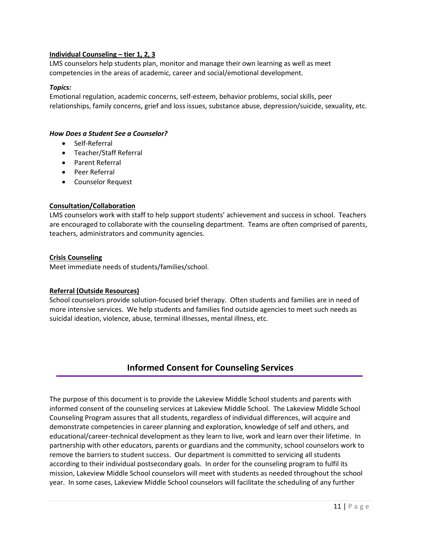## **Individual Counseling – tier 1, 2, 3**

LMS counselors help students plan, monitor and manage their own learning as well as meet competencies in the areas of academic, career and social/emotional development.

#### *Topics:*

Emotional regulation, academic concerns, self-esteem, behavior problems, social skills, peer relationships, family concerns, grief and loss issues, substance abuse, depression/suicide, sexuality, etc.

#### *How Does a Student See a Counselor?*

- Self-Referral
- Teacher/Staff Referral
- Parent Referral
- Peer Referral
- Counselor Request

## **Consultation/Collaboration**

LMS counselors work with staff to help support students' achievement and success in school. Teachers are encouraged to collaborate with the counseling department. Teams are often comprised of parents, teachers, administrators and community agencies.

#### **Crisis Counseling**

Meet immediate needs of students/families/school.

## **Referral (Outside Resources)**

School counselors provide solution-focused brief therapy. Often students and families are in need of more intensive services. We help students and families find outside agencies to meet such needs as suicidal ideation, violence, abuse, terminal illnesses, mental illness, etc.

## **Informed Consent for Counseling Services**

The purpose of this document is to provide the Lakeview Middle School students and parents with informed consent of the counseling services at Lakeview Middle School. The Lakeview Middle School Counseling Program assures that all students, regardless of individual differences, will acquire and demonstrate competencies in career planning and exploration, knowledge of self and others, and educational/career-technical development as they learn to live, work and learn over their lifetime. In partnership with other educators, parents or guardians and the community, school counselors work to remove the barriers to student success. Our department is committed to servicing all students according to their individual postsecondary goals. In order for the counseling program to fulfil its mission, Lakeview Middle School counselors will meet with students as needed throughout the school year. In some cases, Lakeview Middle School counselors will facilitate the scheduling of any further